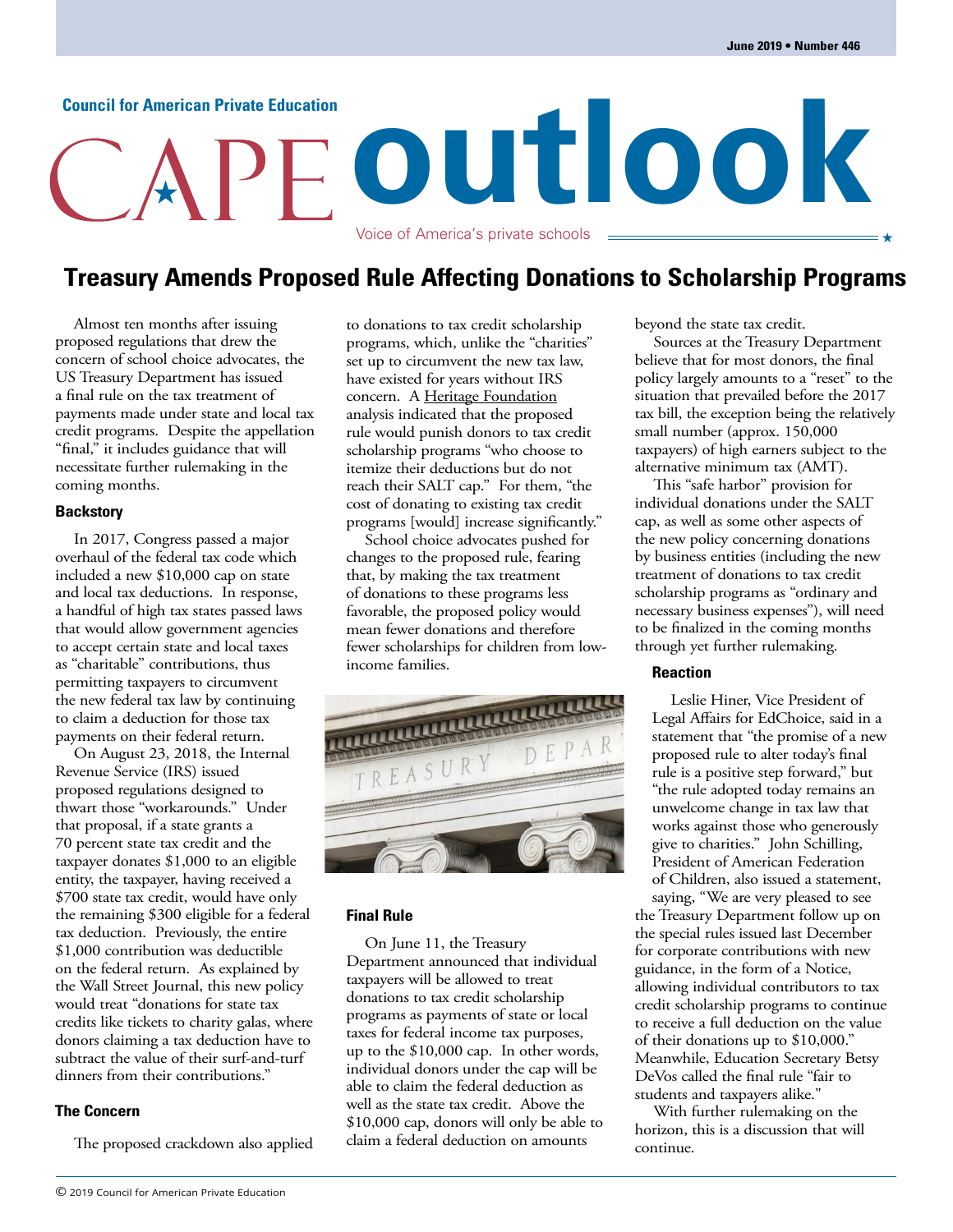# **outlook** Voice of America's private schools **Council for American Private Education**

### **Treasury Amends Proposed Rule Affecting Donations to Scholarship Programs**

Almost ten months after issuing proposed regulations that drew the concern of school choice advocates, the US Treasury Department has issued a final rule on the tax treatment of payments made under state and local tax credit programs. Despite the appellation "final," it includes guidance that will necessitate further rulemaking in the coming months.

### **Backstory**

In 2017, Congress passed a major overhaul of the federal tax code which included a new \$10,000 cap on state and local tax deductions. In response, a handful of high tax states passed laws that would allow government agencies to accept certain state and local taxes as "charitable" contributions, thus permitting taxpayers to circumvent the new federal tax law by continuing to claim a deduction for those tax payments on their federal return.

On August 23, 2018, the Internal Revenue Service (IRS) issued proposed regulations designed to thwart those "workarounds." Under that proposal, if a state grants a 70 percent state tax credit and the taxpayer donates \$1,000 to an eligible entity, the taxpayer, having received a \$700 state tax credit, would have only the remaining \$300 eligible for a federal tax deduction. Previously, the entire \$1,000 contribution was deductible on the federal return. As explained by the Wall Street Journal, this new policy would treat "donations for state tax credits like tickets to charity galas, where donors claiming a tax deduction have to subtract the value of their surf-and-turf dinners from their contributions."

### **The Concern**

The proposed crackdown also applied

to donations to tax credit scholarship programs, which, unlike the "charities" set up to circumvent the new tax law, have existed for years without IRS concern. A [Heritage Foundation](https://www.heritage.org/sites/default/files/2018-09/BG3350_0.pdf) analysis indicated that the proposed rule would punish donors to tax credit scholarship programs "who choose to itemize their deductions but do not reach their SALT cap." For them, "the cost of donating to existing tax credit programs [would] increase significantly."

School choice advocates pushed for changes to the proposed rule, fearing that, by making the tax treatment of donations to these programs less favorable, the proposed policy would mean fewer donations and therefore fewer scholarships for children from lowincome families.



### **Final Rule**

On June 11, the Treasury Department announced that individual taxpayers will be allowed to treat donations to tax credit scholarship programs as payments of state or local taxes for federal income tax purposes, up to the \$10,000 cap. In other words, individual donors under the cap will be able to claim the federal deduction as well as the state tax credit. Above the \$10,000 cap, donors will only be able to claim a federal deduction on amounts

beyond the state tax credit.

Sources at the Treasury Department believe that for most donors, the final policy largely amounts to a "reset" to the situation that prevailed before the 2017 tax bill, the exception being the relatively small number (approx. 150,000 taxpayers) of high earners subject to the alternative minimum tax (AMT).

This "safe harbor" provision for individual donations under the SALT cap, as well as some other aspects of the new policy concerning donations by business entities (including the new treatment of donations to tax credit scholarship programs as "ordinary and necessary business expenses"), will need to be finalized in the coming months through yet further rulemaking.

### **Reaction**

Leslie Hiner, Vice President of Legal Affairs for EdChoice, said in a statement that "the promise of a new proposed rule to alter today's final rule is a positive step forward," but "the rule adopted today remains an unwelcome change in tax law that works against those who generously give to charities." John Schilling, President of American Federation of Children, also issued a statement, saying, "We are very pleased to see

the Treasury Department follow up on the special rules issued last December for corporate contributions with new guidance, in the form of a Notice, allowing individual contributors to tax credit scholarship programs to continue to receive a full deduction on the value of their donations up to \$10,000." Meanwhile, Education Secretary Betsy DeVos called the final rule "fair to students and taxpayers alike."

With further rulemaking on the horizon, this is a discussion that will continue.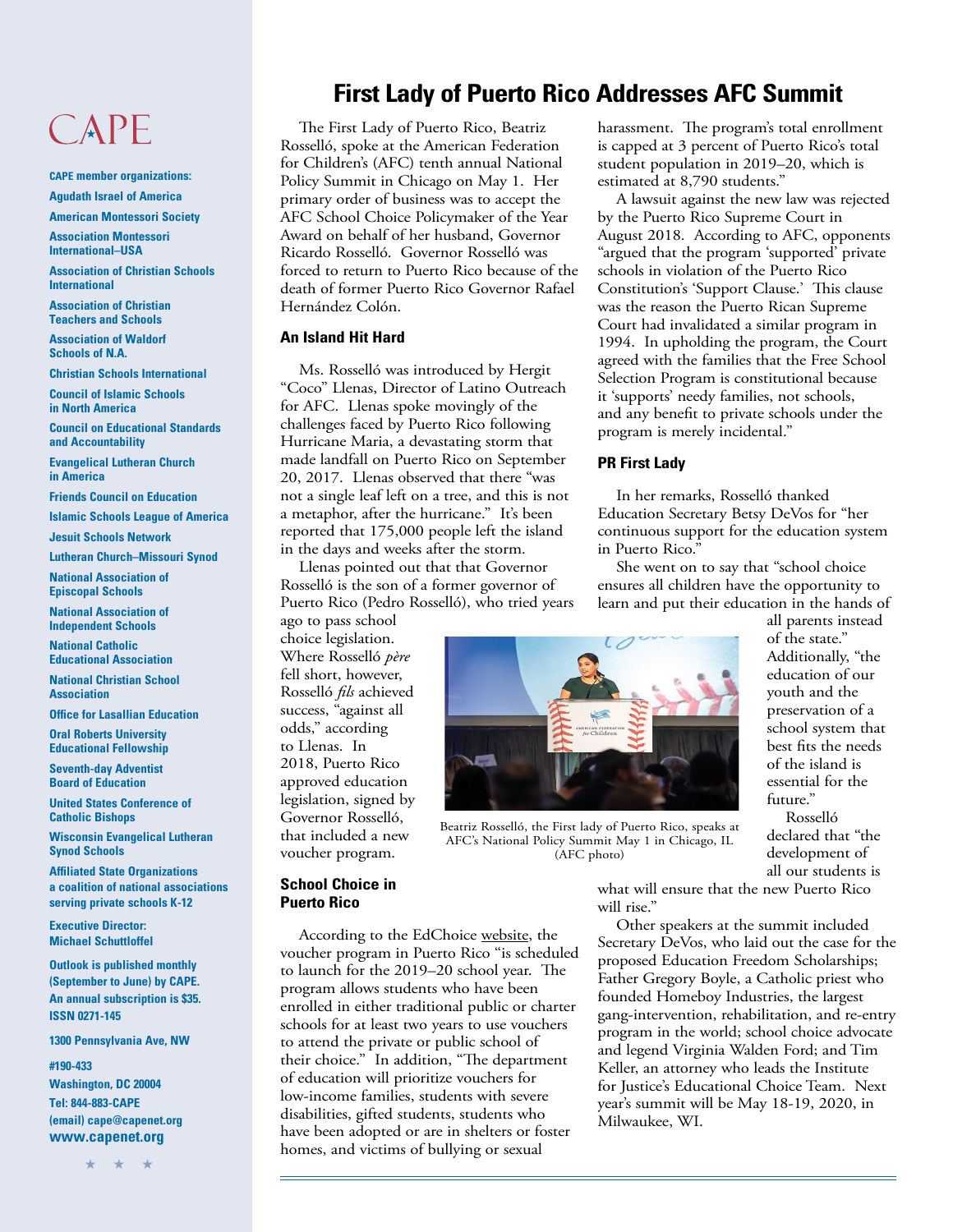# CAPE

**CAPE member organizations: Agudath Israel of America**

**American Montessori Society**

**Association Montessori International–USA**

**Association of Christian Schools International**

**Association of Christian Teachers and Schools**

**Association of Waldorf Schools of N.A.**

**Christian Schools International**

**Council of Islamic Schools in North America**

**Council on Educational Standards and Accountability**

**Evangelical Lutheran Church in America**

**Friends Council on Education**

**Islamic Schools League of America**

**Jesuit Schools Network**

**Lutheran Church–Missouri Synod**

**National Association of Episcopal Schools**

**National Association of Independent Schools**

**National Catholic Educational Association**

**National Christian School Association**

**Office for Lasallian Education**

**Oral Roberts University Educational Fellowship**

**Seventh-day Adventist Board of Education**

**United States Conference of Catholic Bishops**

**Wisconsin Evangelical Lutheran Synod Schools**

**Affiliated State Organizations a coalition of national associations serving private schools K-12**

**Executive Director: Michael Schuttloffel**

**Outlook is published monthly (September to June) by CAPE. An annual subscription is \$35. ISSN 0271-145**

**1300 Pennsylvania Ave, NW**

**#190-433**

**Washington, DC 20004 Tel: 844-883-CAPE (email) cape@capenet.org www.capenet.org**

### **First Lady of Puerto Rico Addresses AFC Summit**

The First Lady of Puerto Rico, Beatriz Rosselló, spoke at the American Federation for Children's (AFC) tenth annual National Policy Summit in Chicago on May 1. Her primary order of business was to accept the AFC School Choice Policymaker of the Year Award on behalf of her husband, Governor Ricardo Rosselló. Governor Rosselló was forced to return to Puerto Rico because of the death of former Puerto Rico Governor Rafael Hernández Colón.

### **An Island Hit Hard**

Ms. Rosselló was introduced by Hergit "Coco" Llenas, Director of Latino Outreach for AFC. Llenas spoke movingly of the challenges faced by Puerto Rico following Hurricane Maria, a devastating storm that made landfall on Puerto Rico on September 20, 2017. Llenas observed that there "was not a single leaf left on a tree, and this is not a metaphor, after the hurricane." It's been reported that 175,000 people left the island in the days and weeks after the storm.

Llenas pointed out that that Governor Rosselló is the son of a former governor of Puerto Rico (Pedro Rosselló), who tried years

ago to pass school choice legislation. Where Rosselló *père* fell short, however, Rosselló *fils* achieved success, "against all odds," according to Llenas. In 2018, Puerto Rico approved education legislation, signed by Governor Rosselló, that included a new voucher program.

## **School Choice in**

According to the EdChoice [website,](https://www.edchoice.org/school-choice/programs/puerto-rico-this-program) the voucher program in Puerto Rico "is scheduled to launch for the 2019–20 school year. The program allows students who have been enrolled in either traditional public or charter schools for at least two years to use vouchers to attend the private or public school of their choice." In addition, "The department of education will prioritize vouchers for low-income families, students with severe disabilities, gifted students, students who have been adopted or are in shelters or foster homes, and victims of bullying or sexual

harassment. The program's total enrollment is capped at 3 percent of Puerto Rico's total student population in 2019–20, which is estimated at 8,790 students."

A lawsuit against the new law was rejected by the Puerto Rico Supreme Court in August 2018. According to AFC, opponents "argued that the program 'supported' private schools in violation of the Puerto Rico Constitution's 'Support Clause.' This clause was the reason the Puerto Rican Supreme Court had invalidated a similar program in 1994. In upholding the program, the Court agreed with the families that the Free School Selection Program is constitutional because it 'supports' needy families, not schools, and any benefit to private schools under the program is merely incidental."

### **PR First Lady**

In her remarks, Rosselló thanked Education Secretary Betsy DeVos for "her continuous support for the education system

She went on to say that "school choice ensures all children have the opportunity to learn and put their education in the hands of

all parents instead of the state." Additionally, "the education of our youth and the preservation of a school system that best fits the needs of the island is essential for the future."

Rosselló declared that "the development of all our students is

what will ensure that the new Puerto Rico will rise."

Other speakers at the summit included Secretary DeVos, who laid out the case for the proposed Education Freedom Scholarships; Father Gregory Boyle, a Catholic priest who founded Homeboy Industries, the largest gang-intervention, rehabilitation, and re-entry program in the world; school choice advocate and legend Virginia Walden Ford; and Tim Keller, an attorney who leads the Institute for Justice's Educational Choice Team. Next year's summit will be May 18-19, 2020, in Milwaukee, WI.



Beatriz Rosselló, the First lady of Puerto Rico, speaks at AFC's National Policy Summit May 1 in Chicago, IL (AFC photo)

**Puerto Rico**

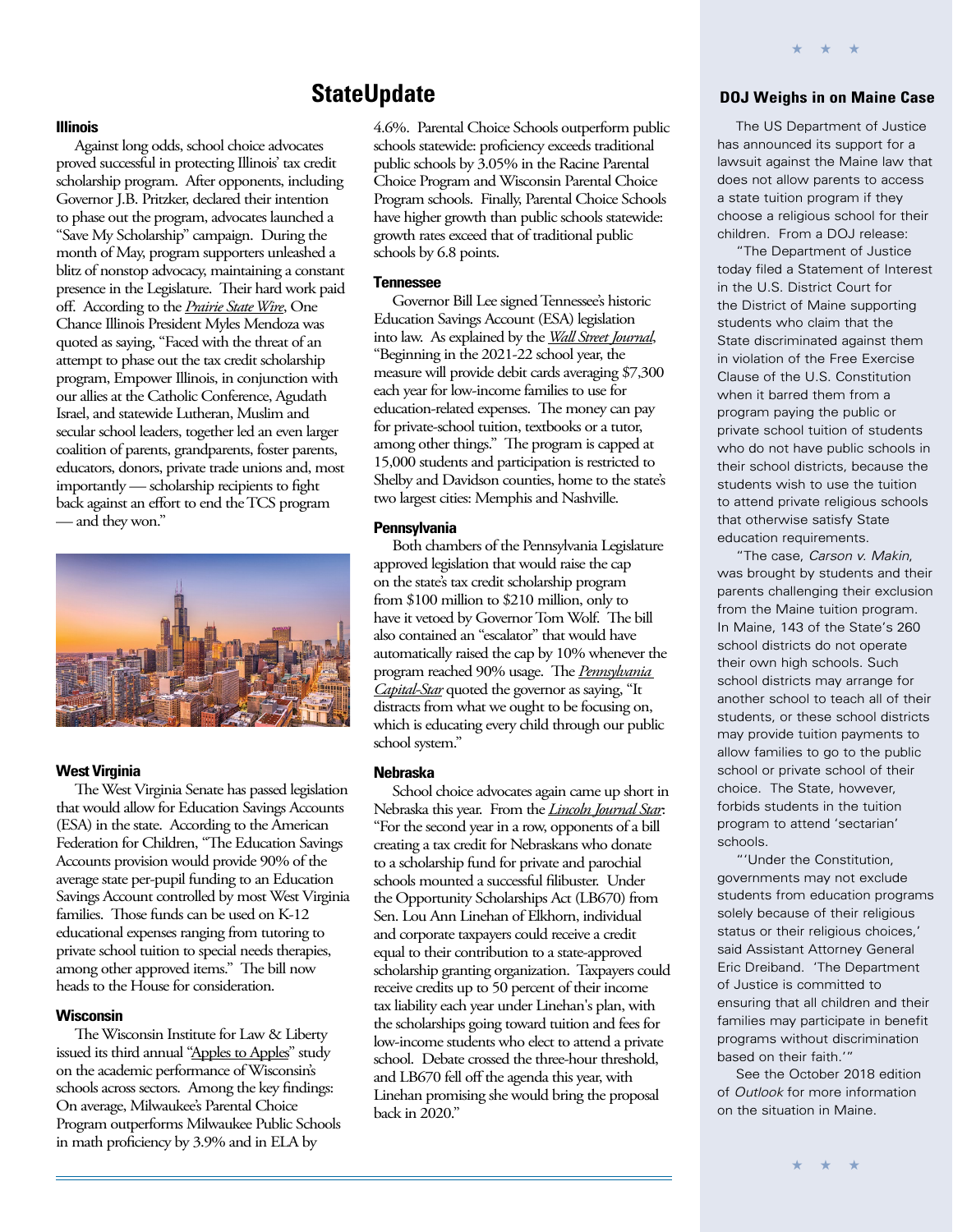### **StateUpdate**

### **Illinois**

Against long odds, school choice advocates proved successful in protecting Illinois' tax credit scholarship program. After opponents, including Governor J.B. Pritzker, declared their intention to phase out the program, advocates launched a "Save My Scholarship" campaign. During the month of May, program supporters unleashed a blitz of nonstop advocacy, maintaining a constant presence in the Legislature. Their hard work paid off. According to the *[Prairie State Wire](https://prairiestatewire.com/stories/512603259-one-chance-illinois-president-mendoza-revels-in-success-of-campaign-to-save-scholarship-program
 
)*, One Chance Illinois President Myles Mendoza was quoted as saying, "Faced with the threat of an attempt to phase out the tax credit scholarship program, Empower Illinois, in conjunction with our allies at the Catholic Conference, Agudath Israel, and statewide Lutheran, Muslim and secular school leaders, together led an even larger coalition of parents, grandparents, foster parents, educators, donors, private trade unions and, most importantly — scholarship recipients to fight back against an effort to end the TCS program — and they won."



#### **West Virginia**

The West Virginia Senate has passed legislation that would allow for Education Savings Accounts (ESA) in the state. According to the American Federation for Children, "The Education Savings Accounts provision would provide 90% of the average state per-pupil funding to an Education Savings Account controlled by most West Virginia families. Those funds can be used on K-12 educational expenses ranging from tutoring to private school tuition to special needs therapies, among other approved items." The bill now heads to the House for consideration.

### **Wisconsin**

The Wisconsin Institute for Law & Liberty issued its third annual ["Apples to Apples](http://www.will-law.org/wp-content/uploads/2019/06/applestoapplesstudyiii.pdf)" study on the academic performance of Wisconsin's schools across sectors. Among the key findings: On average, Milwaukee's Parental Choice Program outperforms Milwaukee Public Schools in math proficiency by 3.9% and in ELA by

4.6%. Parental Choice Schools outperform public schools statewide: proficiency exceeds traditional public schools by 3.05% in the Racine Parental Choice Program and Wisconsin Parental Choice Program schools. Finally, Parental Choice Schools have higher growth than public schools statewide: growth rates exceed that of traditional public schools by 6.8 points.

#### **Tennessee**

Governor Bill Lee signed Tennessee's historic Education Savings Account (ESA) legislation into law. As explained by the *[Wall Street Journal](https://www.wsj.com/articles/tennessee-voucher-victory-11559085938)*, "Beginning in the 2021-22 school year, the measure will provide debit cards averaging \$7,300 each year for low-income families to use for education-related expenses. The money can pay for private-school tuition, textbooks or a tutor, among other things." The program is capped at 15,000 students and participation is restricted to Shelby and Davidson counties, home to the state's two largest cities: Memphis and Nashville.

#### **Pennsylvania**

Both chambers of the Pennsylvania Legislature approved legislation that would raise the cap on the state's tax credit scholarship program from \$100 million to \$210 million, only to have it vetoed by Governor Tom Wolf. The bill also contained an "escalator" that would have automatically raised the cap by 10% whenever the program reached 90% usage. The *[Pennsylvania](https://www.penncapital-star.com/education/wolf-says-he-will-veto-bill-to-expand-tax-credits-for-private-religious-school-scholarships/)  [Capital-Star](https://www.penncapital-star.com/education/wolf-says-he-will-veto-bill-to-expand-tax-credits-for-private-religious-school-scholarships/)* quoted the governor as saying, "It distracts from what we ought to be focusing on, which is educating every child through our public school system."

### **Nebraska**

School choice advocates again came up short in Nebraska this year. From the *[Lincoln Journal Star](https://journalstar.com/legislature/filibuster-pushes-private-school-scholarships-bill-off-agenda-in-nebraska/article_ab8d7f3f-895d-52fc-bddc-e6c537026f47.html)*: "For the second year in a row, opponents of a bill creating a tax credit for Nebraskans who donate to a scholarship fund for private and parochial schools mounted a successful filibuster. Under the Opportunity Scholarships Act (LB670) from Sen. Lou Ann Linehan of Elkhorn, individual and corporate taxpayers could receive a credit equal to their contribution to a state-approved scholarship granting organization. Taxpayers could receive credits up to 50 percent of their income tax liability each year under Linehan's plan, with the scholarships going toward tuition and fees for low-income students who elect to attend a private school. Debate crossed the three-hour threshold, and LB670 fell off the agenda this year, with Linehan promising she would bring the proposal back in 2020."

### **DOJ Weighs in on Maine Case**

\* \* \*

The US Department of Justice has announced its support for a lawsuit against the Maine law that does not allow parents to access a state tuition program if they choose a religious school for their children. From a DOJ release:

"The Department of Justice today filed a Statement of Interest in the U.S. District Court for the District of Maine supporting students who claim that the State discriminated against them in violation of the Free Exercise Clause of the U.S. Constitution when it barred them from a program paying the public or private school tuition of students who do not have public schools in their school districts, because the students wish to use the tuition to attend private religious schools that otherwise satisfy State education requirements.

"The case, Carson v. Makin, was brought by students and their parents challenging their exclusion from the Maine tuition program. In Maine, 143 of the State's 260 school districts do not operate their own high schools. Such school districts may arrange for another school to teach all of their students, or these school districts may provide tuition payments to allow families to go to the public school or private school of their choice. The State, however, forbids students in the tuition program to attend 'sectarian' schools.

"'Under the Constitution, governments may not exclude students from education programs solely because of their religious status or their religious choices,' said Assistant Attorney General Eric Dreiband. 'The Department of Justice is committed to ensuring that all children and their families may participate in benefit programs without discrimination based on their faith.'"

See the October 2018 edition of Outlook for more information on the situation in Maine.